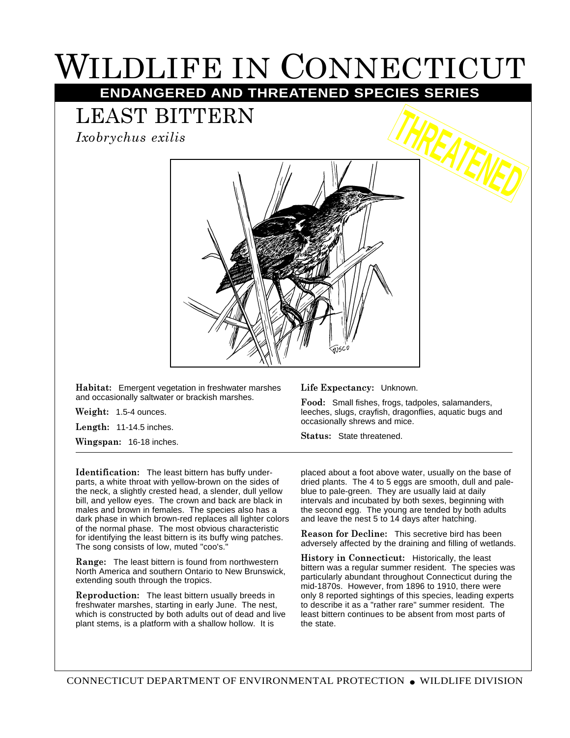## WILDLIFE IN CONNECTICUT

**ENDANGERED AND THREATENED SPECIES SERIES**

## LEAST BITTERN

*Ixobrychus exilis*



**Habitat:** Emergent vegetation in freshwater marshes and occasionally saltwater or brackish marshes.

**Weight:** 1.5-4 ounces.

**Length:** 11-14.5 inches.

**Wingspan:** 16-18 inches.

**Identification:** The least bittern has buffy underparts, a white throat with yellow-brown on the sides of the neck, a slightly crested head, a slender, dull yellow bill, and yellow eyes. The crown and back are black in males and brown in females. The species also has a dark phase in which brown-red replaces all lighter colors of the normal phase. The most obvious characteristic for identifying the least bittern is its buffy wing patches. The song consists of low, muted "coo's."

**Range:** The least bittern is found from northwestern North America and southern Ontario to New Brunswick, extending south through the tropics.

**Reproduction:** The least bittern usually breeds in freshwater marshes, starting in early June. The nest, which is constructed by both adults out of dead and live plant stems, is a platform with a shallow hollow. It is

**Life Expectancy:** Unknown.

**Food:** Small fishes, frogs, tadpoles, salamanders, leeches, slugs, crayfish, dragonflies, aquatic bugs and occasionally shrews and mice.

**Status:** State threatened.

placed about a foot above water, usually on the base of dried plants. The 4 to 5 eggs are smooth, dull and paleblue to pale-green. They are usually laid at daily intervals and incubated by both sexes, beginning with the second egg. The young are tended by both adults and leave the nest 5 to 14 days after hatching.

**Reason for Decline:** This secretive bird has been adversely affected by the draining and filling of wetlands.

**History in Connecticut:** Historically, the least bittern was a regular summer resident. The species was particularly abundant throughout Connecticut during the mid-1870s. However, from 1896 to 1910, there were only 8 reported sightings of this species, leading experts to describe it as a "rather rare" summer resident. The least bittern continues to be absent from most parts of the state.